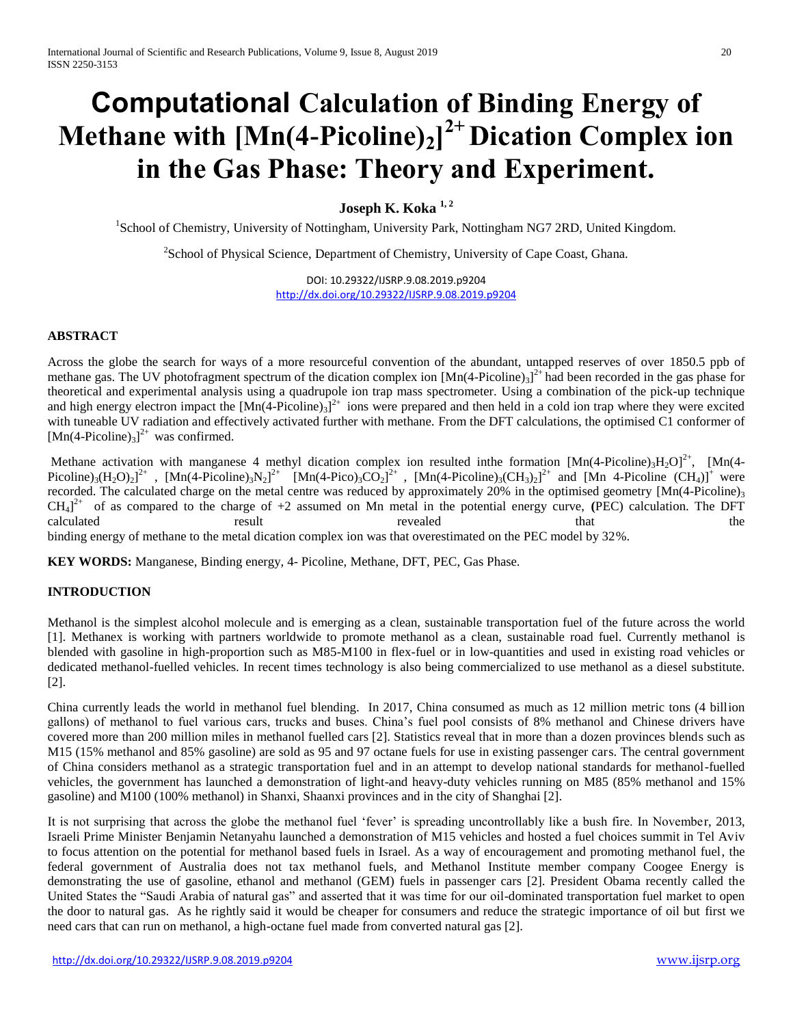# **Computational [Calculation of Binding Energy of](https://aip.scitation.org/doi/10.1063/1.1744486)  [Methane with \[Mn\(4-Picoline\)](https://aip.scitation.org/doi/10.1063/1.1744486)2] 2+ Dication Complex ion [in the Gas Phase: Theory and Experiment.](https://aip.scitation.org/doi/10.1063/1.1744486)**

**Joseph K. Koka 1, 2**

<sup>1</sup>School of Chemistry, University of Nottingham, University Park, Nottingham NG7 2RD, United Kingdom.

<sup>2</sup>School of Physical Science, Department of Chemistry, University of Cape Coast, Ghana.

DOI: 10.29322/IJSRP.9.08.2019.p9204 <http://dx.doi.org/10.29322/IJSRP.9.08.2019.p9204>

#### **ABSTRACT**

Across the globe the search for ways of a more resourceful convention of the abundant, untapped reserves of over 1850.5 ppb of methane gas. The UV photofragment spectrum of the dication complex ion  $[Mn(4-Picoline)_3]^{2+}$  had been recorded in the gas phase for theoretical and experimental analysis using a quadrupole ion trap mass spectrometer. Using a combination of the pick-up technique and high energy electron impact the  $[Mn(4-Picoline)_3]^{2+}$  ions were prepared and then held in a cold ion trap where they were excited with tuneable UV radiation and effectively activated further with methane. From the DFT calculations, the optimised C1 conformer of  $[Mn(4-Picoline)<sub>3</sub>]<sup>2+</sup>$  was confirmed.

Methane activation with manganese 4 methyl dication complex ion resulted inthe formation  $[Mn(4-Picoline)_3H_2O]^{2+}$ ,  $[Mn(4-Picoline)_3H_2O]^{2+}$ Picoline)<sub>3</sub>(H<sub>2</sub>O)<sub>2</sub>]<sup>2+</sup>, [Mn(4-Picoline)<sub>3</sub>N<sub>2</sub>]<sup>2+</sup> [Mn(4-Pico)<sub>3</sub>CO<sub>2</sub>]<sup>2+</sup>, [Mn(4-Picoline)<sub>3</sub>(CH<sub>3</sub>)<sub>2</sub>]<sup>2+</sup> and [Mn 4-Picoline (CH<sub>4</sub>)]<sup>+</sup> were recorded. The calculated charge on the metal centre was reduced by approximately 20% in the optimised geometry [Mn(4-Picoline)<sub>3</sub>  $CH<sub>4</sub>$ <sup>2+</sup> of as compared to the charge of +2 assumed on Mn metal in the potential energy curve, (PEC) calculation. The DFT calculated result revealed that the binding energy of methane to the metal dication complex ion was that overestimated on the PEC model by 32%.

**KEY WORDS:** Manganese, Binding energy, 4- Picoline, Methane, DFT, PEC, Gas Phase.

### **INTRODUCTION**

Methanol is the simplest alcohol molecule and is emerging as a clean, sustainable transportation fuel of the future across the world [1]. Methanex is working with partners worldwide to promote methanol as a clean, sustainable road fuel. Currently methanol is blended with gasoline in high-proportion such as M85-M100 in flex-fuel or in low-quantities and used in existing road vehicles or dedicated methanol-fuelled vehicles. In recent times technology is also being commercialized to use methanol as a diesel substitute. [2].

China currently leads the world in methanol fuel blending. In 2017, China consumed as much as 12 million metric tons (4 billion gallons) of methanol to fuel various cars, trucks and buses. China's fuel pool consists of 8% methanol and Chinese drivers have covered more than 200 million miles in methanol fuelled cars [2]. Statistics reveal that in more than a dozen provinces blends such as M15 (15% methanol and 85% gasoline) are sold as 95 and 97 octane fuels for use in existing passenger cars. The central government of China considers methanol as a strategic transportation fuel and in an attempt to develop national standards for methanol-fuelled vehicles, the government has launched a demonstration of light-and heavy-duty vehicles running on M85 (85% methanol and 15% gasoline) and M100 (100% methanol) in Shanxi, Shaanxi provinces and in the city of Shanghai [2].

It is not surprising that across the globe the methanol fuel 'fever' is spreading uncontrollably like a bush fire. In November, 2013, Israeli Prime Minister Benjamin Netanyahu launched a demonstration of M15 vehicles and hosted a fuel choices summit in Tel Aviv to focus attention on the potential for methanol based fuels in Israel. As a way of encouragement and promoting methanol fuel, the federal government of Australia does not tax methanol fuels, and Methanol Institute member company Coogee Energy is demonstrating the use of gasoline, ethanol and methanol (GEM) fuels in passenger cars [2]. President Obama recently called the United States the "Saudi Arabia of natural gas" and asserted that it was time for our oil-dominated transportation fuel market to open the door to natural gas. As he rightly said it would be cheaper for consumers and reduce the strategic importance of oil but first we need cars that can run on methanol, a high-octane fuel made from converted natural gas [2].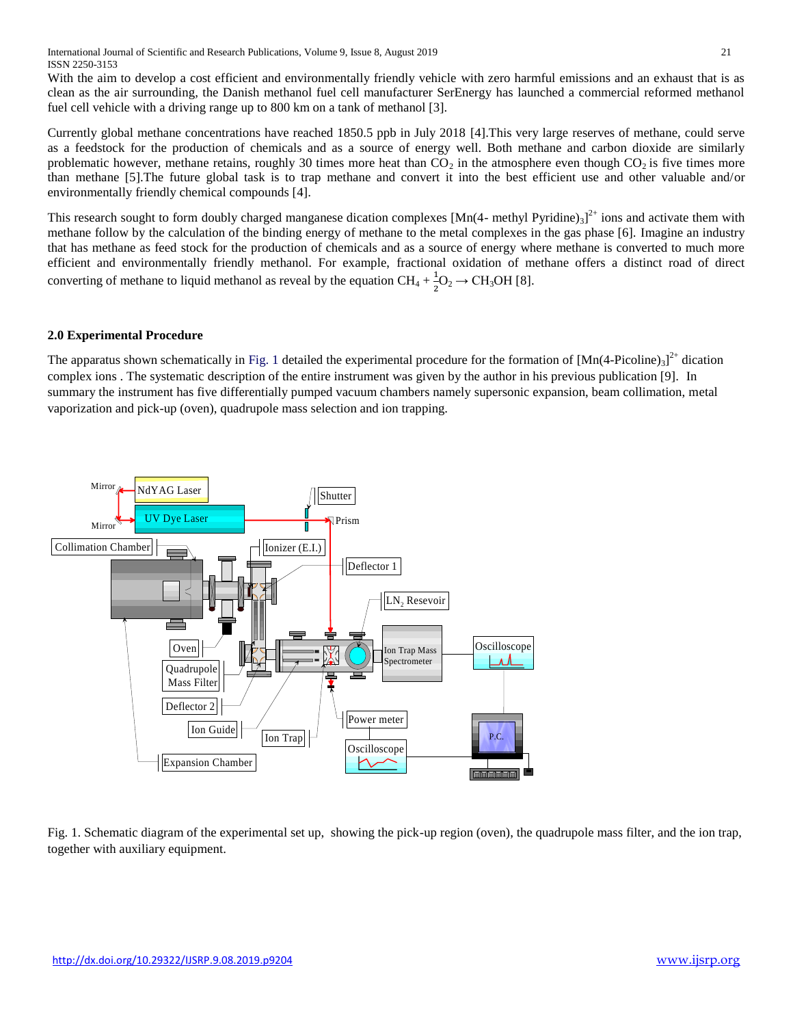With the aim to develop a cost efficient and environmentally friendly vehicle with zero harmful emissions and an exhaust that is as clean as the air surrounding*,* the Danish methanol fuel cell manufacturer SerEnergy has launched a commercial reformed methanol fuel cell vehicle with a driving range up to 800 km on a tank of methanol [3].

Currently global methane concentrations have reached 1850.5 ppb in July 2018 [4].This very large reserves of methane, could serve as a feedstock for the production of chemicals and as a source of energy well. Both methane and carbon dioxide are similarly problematic however, methane retains, roughly 30 times more heat than  $CO<sub>2</sub>$  in the atmosphere even though  $CO<sub>2</sub>$  is five times more than methane [5].The future global task is to trap methane and convert it into the best efficient use and other valuable and/or environmentally friendly chemical compounds [4].

This research sought to form doubly charged manganese dication complexes  $[Mn(4-methyl Pyridine)_3]^{2+}$  ions and activate them with methane follow by the calculation of the binding energy of methane to the metal complexes in the gas phase [6]. Imagine an industry that has methane as feed stock for the production of chemicals and as a source of energy where methane is converted to much more efficient and environmentally friendly methanol. For example, fractional oxidation of methane offers a distinct road of direct converting of methane to liquid methanol as reveal by the equation  $CH_4 + \frac{1}{2}$  ${}_{2}^{\perp}O_{2} \rightarrow CH_{3}OH$  [8].

#### **2.0 Experimental Procedure**

The apparatus shown schematically in Fig. 1 detailed the experimental procedure for the formation of  $[Mn(4-Picoline)_3]^{2+}$  dication complex ions . The systematic description of the entire instrument was given by the author in his previous publication [9]. In summary the instrument has five differentially pumped vacuum chambers namely supersonic expansion, beam collimation, metal vaporization and pick-up (oven), quadrupole mass selection and ion trapping.



Fig. 1. Schematic diagram of the experimental set up, showing the pick-up region (oven), the quadrupole mass filter, and the ion trap, together with auxiliary equipment.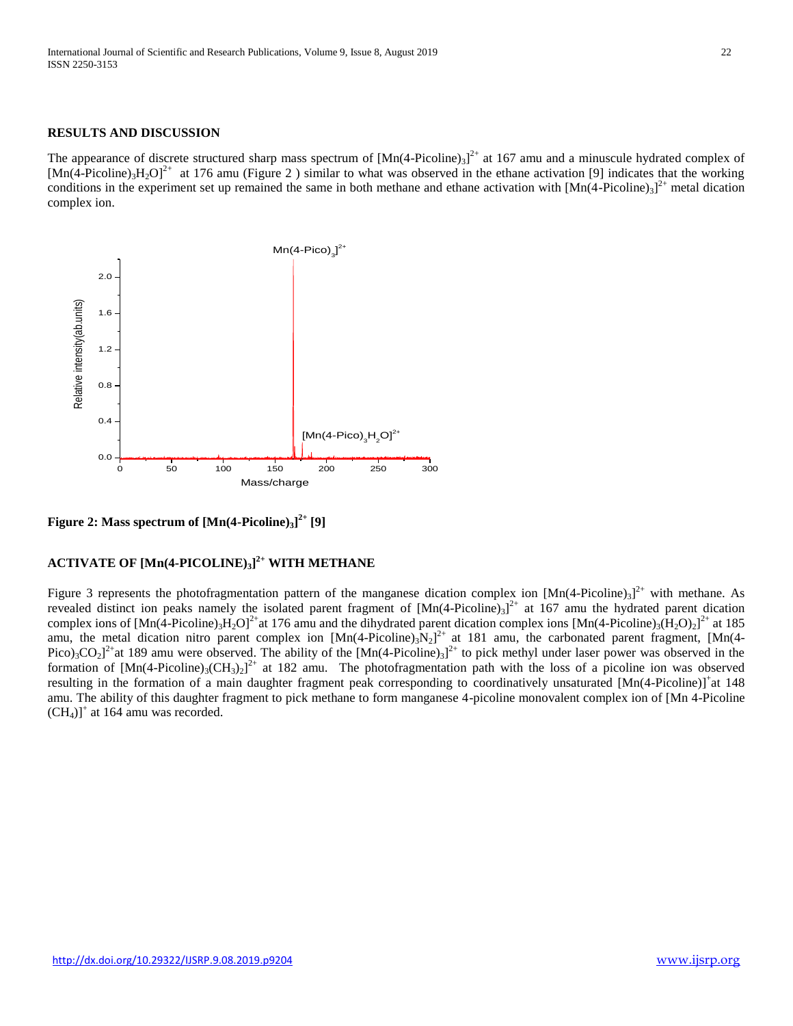#### **RESULTS AND DISCUSSION**

The appearance of discrete structured sharp mass spectrum of  $[Mn(4-Picoline)_3]^{2+}$  at 167 amu and a minuscule hydrated complex of  $[{\rm Mn}(4\text{-Picoline})_3{\rm H}_2{\rm O}]^{2+}$  at 176 amu (Figure 2) similar to what was observed in the ethane activation [9] indicates that the working conditions in the experiment set up remained the same in both methane and ethane activation with  $[Mn(4-Picoline)_3]^{2+}$  metal dication complex ion.



**Figure 2: Mass spectrum of [Mn(4-Picoline)3] 2+ [9]**

## **ACTIVATE OF [Mn(4-PICOLINE)3] 2+ WITH METHANE**

Figure 3 represents the photofragmentation pattern of the manganese dication complex ion  $[Mn(4-Picoline)_3]^{2+}$  with methane. As revealed distinct ion peaks namely the isolated parent fragment of  $[Mn(4-Picoline)_3]^{2+}$  at 167 amu the hydrated parent dication complex ions of  $[Mn(4-Picoline)_3H_2O]^2$  at 176 amu and the dihydrated parent dication complex ions  $[Mn(4-Picoline)_3(H_2O)_2]^2$  at 185 amu, the metal dication nitro parent complex ion  $[Mn(4-Picoline)_3N_2]^2$  at 181 amu, the carbonated parent fragment,  $[Mn(4-Picoline)_3N_2]^2$ Pico)<sub>3</sub>CO<sub>2</sub><sup>2+</sup>at 189 amu were observed. The ability of the [Mn(4-Picoline)<sub>3</sub>]<sup>2+</sup> to pick methyl under laser power was observed in the formation of  $[Mn(4-Picoline)_3(CH_3)_2]^{2+}$  at 182 amu. The photofragmentation path with the loss of a picoline ion was observed resulting in the formation of a main daughter fragment peak corresponding to coordinatively unsaturated [Mn(4-Picoline)]<sup>+</sup>at 148 amu. The ability of this daughter fragment to pick methane to form manganese 4-picoline monovalent complex ion of [Mn 4-Picoline  $(CH<sub>4</sub>)$ <sup>+</sup> at 164 amu was recorded.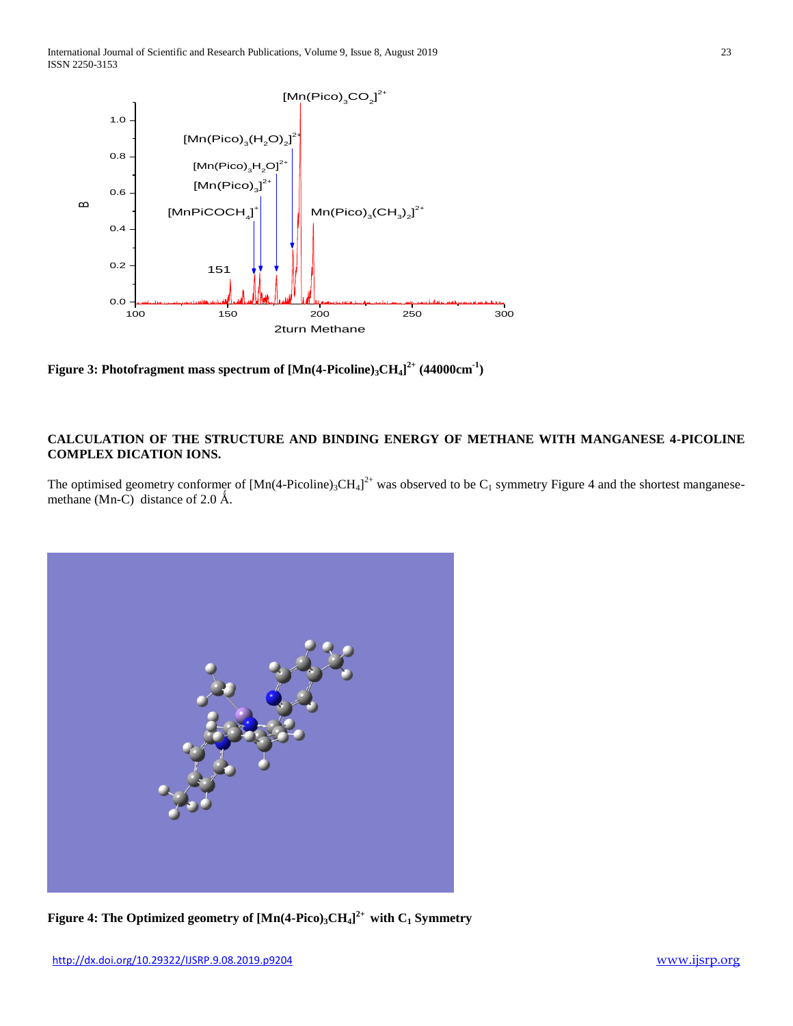

**Figure 3: Photofragment mass spectrum of [Mn(4-Picoline)3CH4] 2+ (44000cm-1 )**

#### **CALCULATION OF THE STRUCTURE AND BINDING ENERGY OF METHANE WITH MANGANESE 4-PICOLINE COMPLEX DICATION IONS.**

The optimised geometry conformer of  $[Mn(4-Picoline)_3CH_4]^{2+}$  was observed to be  $C_1$  symmetry Figure 4 and the shortest manganesemethane (Mn-C) distance of 2.0  $\AA$ .



**Figure 4: The Optimized geometry of [Mn(4-Pico)3CH4] 2+ with C<sup>1</sup> Symmetry**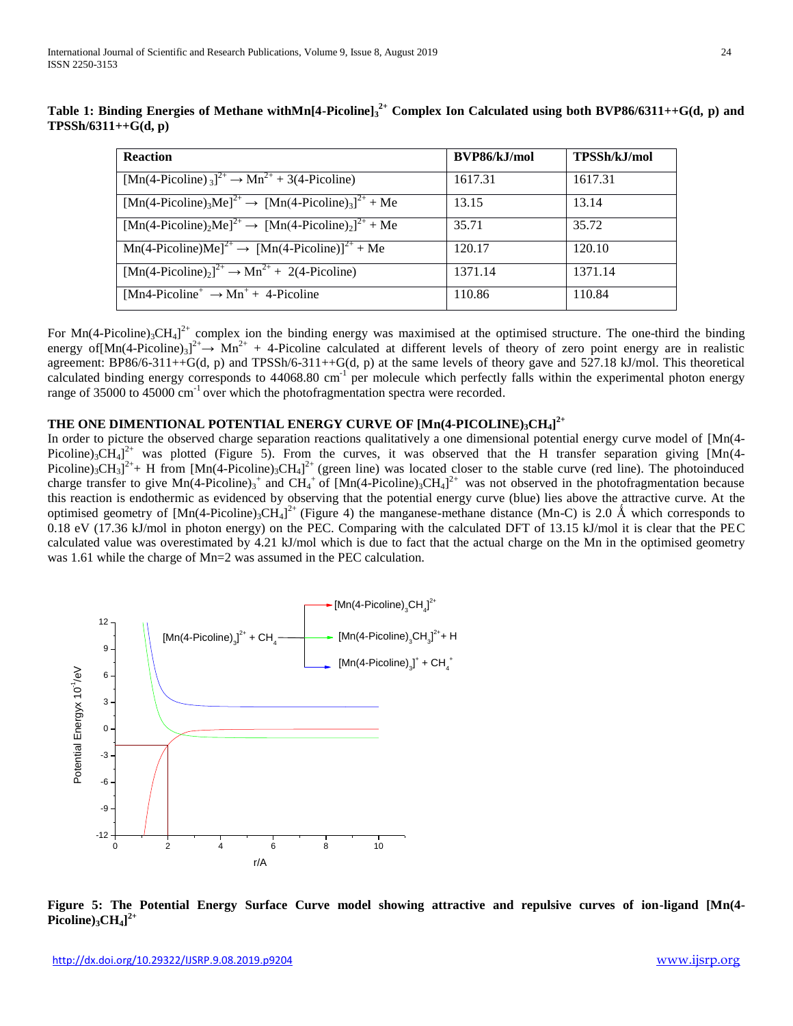| <b>Reaction</b>                                                                                            | BVP86/kJ/mol | TPSSh/kJ/mol |
|------------------------------------------------------------------------------------------------------------|--------------|--------------|
| $[Mn(4-Picoline)]^{2+} \rightarrow Mn^{2+} + 3(4-Picoline)$                                                | 1617.31      | 1617.31      |
| $[Mn(4-Picoline)3Me]2+ \rightarrow [Mn(4-Picoline)3]2+ + Me$                                               | 13.15        | 13.14        |
| $[{\rm Mn}(4\text{-Picoline})_2{\rm Me}]^{2+} \rightarrow [{\rm Mn}(4\text{-Picoline})_2]^{2+} + {\rm Me}$ | 35.71        | 35.72        |
| $Mn(4-Picoline)Me]2+ \rightarrow [Mn(4-Picoline)]2+ + Me$                                                  | 120.17       | 120.10       |
| $\boxed{\text{Mn}(4\text{-Picoline})_2^2}^{\text{2+}} \rightarrow \text{Mn}^{2+} + 2(4\text{-Picoline})$   | 1371.14      | 1371.14      |
| [Mn4-Picoline <sup>+</sup> $\rightarrow$ Mn <sup>+</sup> + 4-Picoline                                      | 110.86       | 110.84       |

**Table 1: Binding Energies of Methane withMn[4-Picoline]<sup>3</sup> 2+ Complex Ion Calculated using both BVP86/6311++G(d, p) and TPSSh/6311++G(d, p)**

For  $Mn(4\text{-Picoline})_3CH_4]^2$  complex ion the binding energy was maximised at the optimised structure. The one-third the binding energy of $[Mn(4-Picoline)_3]^{2+} \to Mn^{2+} + 4-Picoline$  calculated at different levels of theory of zero point energy are in realistic agreement: BP86/6-311++G(d, p) and TPSSh/6-311++G(d, p) at the same levels of theory gave and 527.18 kJ/mol. This theoretical calculated binding energy corresponds to 44068.80 cm<sup>-1</sup> per molecule which perfectly falls within the experimental photon energy range of 35000 to 45000  $cm^{-1}$  over which the photofragmentation spectra were recorded.

## **THE ONE DIMENTIONAL POTENTIAL ENERGY CURVE OF [Mn(4-PICOLINE)3CH4] 2+**

In order to picture the observed charge separation reactions qualitatively a one dimensional potential energy curve model of [Mn(4- Picoline)<sub>3</sub>CH<sub>4</sub>]<sup>2+</sup> was plotted (Figure 5). From the curves, it was observed that the H transfer separation giving [Mn(4-Picoline)<sub>3</sub>CH<sub>3</sub>]<sup>2+</sup>+ H from [Mn(4-Picoline)<sub>3</sub>CH<sub>4</sub>]<sup>2+</sup> (green line) was located closer to the stable curve (red line). The photoinduced charge transfer to give  $Mn(4\text{-Picoline})_3^+$  and  $CH_4^+$  of  $[Mn(4\text{-Picoline})_3CH_4]^{2+}$  was not observed in the photofragmentation because this reaction is endothermic as evidenced by observing that the potential energy curve (blue) lies above the attractive curve. At the optimised geometry of  $[Mn(4-Picoline)_3CH_4]^2$ <sup>+</sup> (Figure 4) the manganese-methane distance (Mn-C) is 2.0 Å which corresponds to 0.18 eV (17.36 kJ/mol in photon energy) on the PEC. Comparing with the calculated DFT of 13.15 kJ/mol it is clear that the PEC calculated value was overestimated by 4.21 kJ/mol which is due to fact that the actual charge on the Mn in the optimised geometry was 1.61 while the charge of Mn=2 was assumed in the PEC calculation.



**Figure 5: The Potential Energy Surface Curve model showing attractive and repulsive curves of ion-ligand [Mn(4- Picoline)3CH4] 2+**